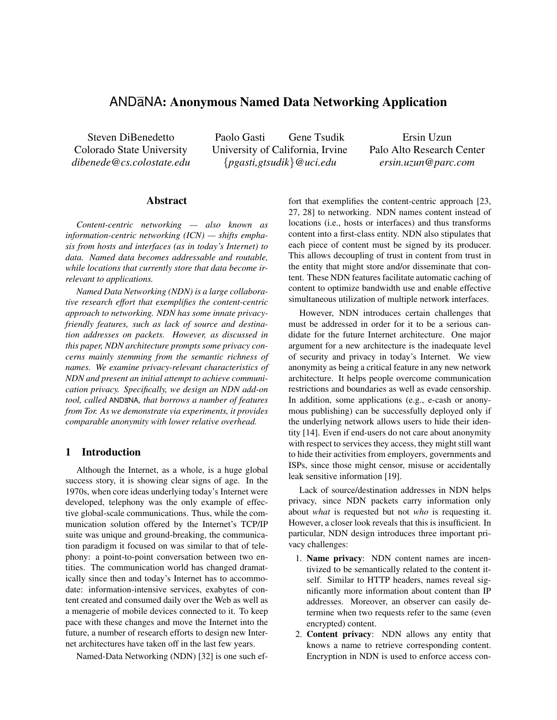# ANDaNA: Anonymous Named Data Networking Application

Steven DiBenedetto Colorado State University *dibenede@cs.colostate.edu*

Paolo Gasti Gene Tsudik University of California, Irvine {*pgasti,gtsudik*}*@uci.edu*

Ersin Uzun Palo Alto Research Center *ersin.uzun@parc.com*

# Abstract

*Content-centric networking — also known as information-centric networking (ICN) — shifts emphasis from hosts and interfaces (as in today's Internet) to data. Named data becomes addressable and routable, while locations that currently store that data become irrelevant to applications.*

*Named Data Networking (NDN) is a large collaborative research effort that exemplifies the content-centric approach to networking. NDN has some innate privacyfriendly features, such as lack of source and destination addresses on packets. However, as discussed in this paper, NDN architecture prompts some privacy concerns mainly stemming from the semantic richness of names. We examine privacy-relevant characteristics of NDN and present an initial attempt to achieve communication privacy. Specifically, we design an NDN add-on tool, called* ANDaNA*, that borrows a number of features from Tor. As we demonstrate via experiments, it provides comparable anonymity with lower relative overhead.*

# 1 Introduction

Although the Internet, as a whole, is a huge global success story, it is showing clear signs of age. In the 1970s, when core ideas underlying today's Internet were developed, telephony was the only example of effective global-scale communications. Thus, while the communication solution offered by the Internet's TCP/IP suite was unique and ground-breaking, the communication paradigm it focused on was similar to that of telephony: a point-to-point conversation between two entities. The communication world has changed dramatically since then and today's Internet has to accommodate: information-intensive services, exabytes of content created and consumed daily over the Web as well as a menagerie of mobile devices connected to it. To keep pace with these changes and move the Internet into the future, a number of research efforts to design new Internet architectures have taken off in the last few years.

Named-Data Networking (NDN) [32] is one such ef-

fort that exemplifies the content-centric approach [23, 27, 28] to networking. NDN names content instead of locations (i.e., hosts or interfaces) and thus transforms content into a first-class entity. NDN also stipulates that each piece of content must be signed by its producer. This allows decoupling of trust in content from trust in the entity that might store and/or disseminate that content. These NDN features facilitate automatic caching of content to optimize bandwidth use and enable effective simultaneous utilization of multiple network interfaces.

However, NDN introduces certain challenges that must be addressed in order for it to be a serious candidate for the future Internet architecture. One major argument for a new architecture is the inadequate level of security and privacy in today's Internet. We view anonymity as being a critical feature in any new network architecture. It helps people overcome communication restrictions and boundaries as well as evade censorship. In addition, some applications (e.g., e-cash or anonymous publishing) can be successfully deployed only if the underlying network allows users to hide their identity [14]. Even if end-users do not care about anonymity with respect to services they access, they might still want to hide their activities from employers, governments and ISPs, since those might censor, misuse or accidentally leak sensitive information [19].

Lack of source/destination addresses in NDN helps privacy, since NDN packets carry information only about *what* is requested but not *who* is requesting it. However, a closer look reveals that this is insufficient. In particular, NDN design introduces three important privacy challenges:

- 1. Name privacy: NDN content names are incentivized to be semantically related to the content itself. Similar to HTTP headers, names reveal significantly more information about content than IP addresses. Moreover, an observer can easily determine when two requests refer to the same (even encrypted) content.
- 2. Content privacy: NDN allows any entity that knows a name to retrieve corresponding content. Encryption in NDN is used to enforce access con-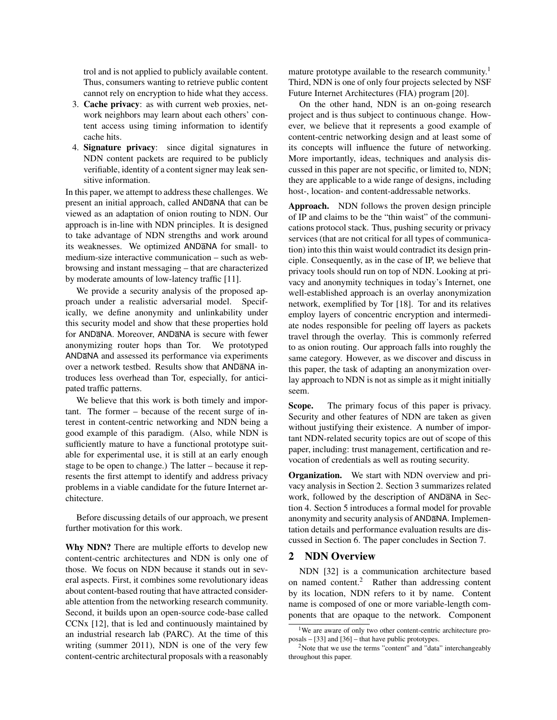trol and is not applied to publicly available content. Thus, consumers wanting to retrieve public content cannot rely on encryption to hide what they access.

- 3. Cache privacy: as with current web proxies, network neighbors may learn about each others' content access using timing information to identify cache hits.
- 4. Signature privacy: since digital signatures in NDN content packets are required to be publicly verifiable, identity of a content signer may leak sensitive information.

In this paper, we attempt to address these challenges. We present an initial approach, called ANDaNA that can be viewed as an adaptation of onion routing to NDN. Our approach is in-line with NDN principles. It is designed to take advantage of NDN strengths and work around its weaknesses. We optimized ANDaNA for small- to medium-size interactive communication – such as webbrowsing and instant messaging – that are characterized by moderate amounts of low-latency traffic [11].

We provide a security analysis of the proposed approach under a realistic adversarial model. Specifically, we define anonymity and unlinkability under this security model and show that these properties hold for ANDaNA. Moreover, ANDaNA is secure with fewer anonymizing router hops than Tor. We prototyped ANDaNA and assessed its performance via experiments over a network testbed. Results show that ANDaNA introduces less overhead than Tor, especially, for anticipated traffic patterns.

We believe that this work is both timely and important. The former – because of the recent surge of interest in content-centric networking and NDN being a good example of this paradigm. (Also, while NDN is sufficiently mature to have a functional prototype suitable for experimental use, it is still at an early enough stage to be open to change.) The latter – because it represents the first attempt to identify and address privacy problems in a viable candidate for the future Internet architecture.

Before discussing details of our approach, we present further motivation for this work.

Why NDN? There are multiple efforts to develop new content-centric architectures and NDN is only one of those. We focus on NDN because it stands out in several aspects. First, it combines some revolutionary ideas about content-based routing that have attracted considerable attention from the networking research community. Second, it builds upon an open-source code-base called CCNx [12], that is led and continuously maintained by an industrial research lab (PARC). At the time of this writing (summer 2011), NDN is one of the very few content-centric architectural proposals with a reasonably mature prototype available to the research community.<sup>1</sup> Third, NDN is one of only four projects selected by NSF Future Internet Architectures (FIA) program [20].

On the other hand, NDN is an on-going research project and is thus subject to continuous change. However, we believe that it represents a good example of content-centric networking design and at least some of its concepts will influence the future of networking. More importantly, ideas, techniques and analysis discussed in this paper are not specific, or limited to, NDN; they are applicable to a wide range of designs, including host-, location- and content-addressable networks.

Approach. NDN follows the proven design principle of IP and claims to be the "thin waist" of the communications protocol stack. Thus, pushing security or privacy services (that are not critical for all types of communication) into this thin waist would contradict its design principle. Consequently, as in the case of IP, we believe that privacy tools should run on top of NDN. Looking at privacy and anonymity techniques in today's Internet, one well-established approach is an overlay anonymization network, exemplified by Tor [18]. Tor and its relatives employ layers of concentric encryption and intermediate nodes responsible for peeling off layers as packets travel through the overlay. This is commonly referred to as onion routing. Our approach falls into roughly the same category. However, as we discover and discuss in this paper, the task of adapting an anonymization overlay approach to NDN is not as simple as it might initially seem.

Scope. The primary focus of this paper is privacy. Security and other features of NDN are taken as given without justifying their existence. A number of important NDN-related security topics are out of scope of this paper, including: trust management, certification and revocation of credentials as well as routing security.

Organization. We start with NDN overview and privacy analysis in Section 2. Section 3 summarizes related work, followed by the description of ANDaNA in Section 4. Section 5 introduces a formal model for provable anonymity and security analysis of ANDaNA. Implementation details and performance evaluation results are discussed in Section 6. The paper concludes in Section 7.

# 2 NDN Overview

NDN [32] is a communication architecture based on named content.<sup>2</sup> Rather than addressing content by its location, NDN refers to it by name. Content name is composed of one or more variable-length components that are opaque to the network. Component

<sup>&</sup>lt;sup>1</sup>We are aware of only two other content-centric architecture proposals – [33] and [36] – that have public prototypes.

<sup>&</sup>lt;sup>2</sup>Note that we use the terms "content" and "data" interchangeably throughout this paper.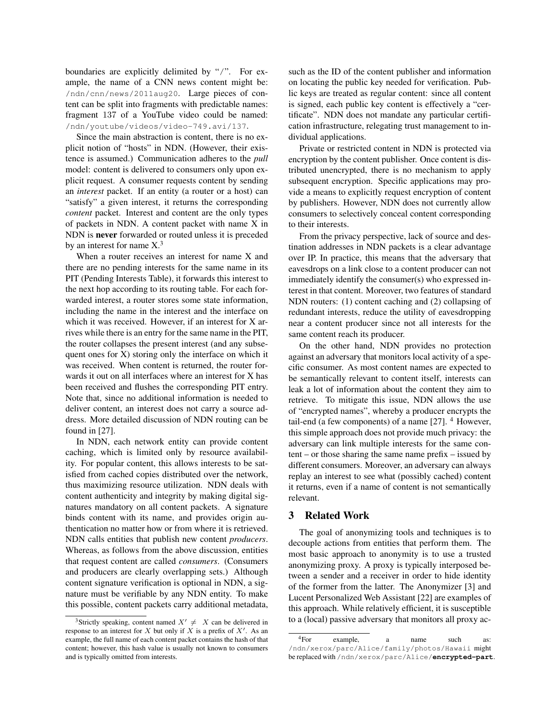boundaries are explicitly delimited by "/". For example, the name of a CNN news content might be: /ndn/cnn/news/2011aug20. Large pieces of content can be split into fragments with predictable names: fragment 137 of a YouTube video could be named: /ndn/youtube/videos/video-749.avi/137.

Since the main abstraction is content, there is no explicit notion of "hosts" in NDN. (However, their existence is assumed.) Communication adheres to the *pull* model: content is delivered to consumers only upon explicit request. A consumer requests content by sending an *interest* packet. If an entity (a router or a host) can "satisfy" a given interest, it returns the corresponding *content* packet. Interest and content are the only types of packets in NDN. A content packet with name X in NDN is never forwarded or routed unless it is preceded by an interest for name  $X<sup>3</sup>$ 

When a router receives an interest for name X and there are no pending interests for the same name in its PIT (Pending Interests Table), it forwards this interest to the next hop according to its routing table. For each forwarded interest, a router stores some state information, including the name in the interest and the interface on which it was received. However, if an interest for X arrives while there is an entry for the same name in the PIT, the router collapses the present interest (and any subsequent ones for X) storing only the interface on which it was received. When content is returned, the router forwards it out on all interfaces where an interest for X has been received and flushes the corresponding PIT entry. Note that, since no additional information is needed to deliver content, an interest does not carry a source address. More detailed discussion of NDN routing can be found in [27].

In NDN, each network entity can provide content caching, which is limited only by resource availability. For popular content, this allows interests to be satisfied from cached copies distributed over the network, thus maximizing resource utilization. NDN deals with content authenticity and integrity by making digital signatures mandatory on all content packets. A signature binds content with its name, and provides origin authentication no matter how or from where it is retrieved. NDN calls entities that publish new content *producers*. Whereas, as follows from the above discussion, entities that request content are called *consumers*. (Consumers and producers are clearly overlapping sets.) Although content signature verification is optional in NDN, a signature must be verifiable by any NDN entity. To make this possible, content packets carry additional metadata,

such as the ID of the content publisher and information on locating the public key needed for verification. Public keys are treated as regular content: since all content is signed, each public key content is effectively a "certificate". NDN does not mandate any particular certification infrastructure, relegating trust management to individual applications.

Private or restricted content in NDN is protected via encryption by the content publisher. Once content is distributed unencrypted, there is no mechanism to apply subsequent encryption. Specific applications may provide a means to explicitly request encryption of content by publishers. However, NDN does not currently allow consumers to selectively conceal content corresponding to their interests.

From the privacy perspective, lack of source and destination addresses in NDN packets is a clear advantage over IP. In practice, this means that the adversary that eavesdrops on a link close to a content producer can not immediately identify the consumer(s) who expressed interest in that content. Moreover, two features of standard NDN routers: (1) content caching and (2) collapsing of redundant interests, reduce the utility of eavesdropping near a content producer since not all interests for the same content reach its producer.

On the other hand, NDN provides no protection against an adversary that monitors local activity of a specific consumer. As most content names are expected to be semantically relevant to content itself, interests can leak a lot of information about the content they aim to retrieve. To mitigate this issue, NDN allows the use of "encrypted names", whereby a producer encrypts the tail-end (a few components) of a name  $[27]$ . <sup>4</sup> However, this simple approach does not provide much privacy: the adversary can link multiple interests for the same content – or those sharing the same name prefix – issued by different consumers. Moreover, an adversary can always replay an interest to see what (possibly cached) content it returns, even if a name of content is not semantically relevant.

# 3 Related Work

The goal of anonymizing tools and techniques is to decouple actions from entities that perform them. The most basic approach to anonymity is to use a trusted anonymizing proxy. A proxy is typically interposed between a sender and a receiver in order to hide identity of the former from the latter. The Anonymizer [3] and Lucent Personalized Web Assistant [22] are examples of this approach. While relatively efficient, it is susceptible to a (local) passive adversary that monitors all proxy ac-

<sup>&</sup>lt;sup>3</sup>Strictly speaking, content named  $X' \neq X$  can be delivered in response to an interest for X but only if X is a prefix of  $X'$ . As an example, the full name of each content packet contains the hash of that content; however, this hash value is usually not known to consumers and is typically omitted from interests.

<sup>4</sup>For example, a name such as: /ndn/xerox/parc/Alice/family/photos/Hawaii might be replaced with /ndn/xerox/parc/Alice/**encrypted-part**.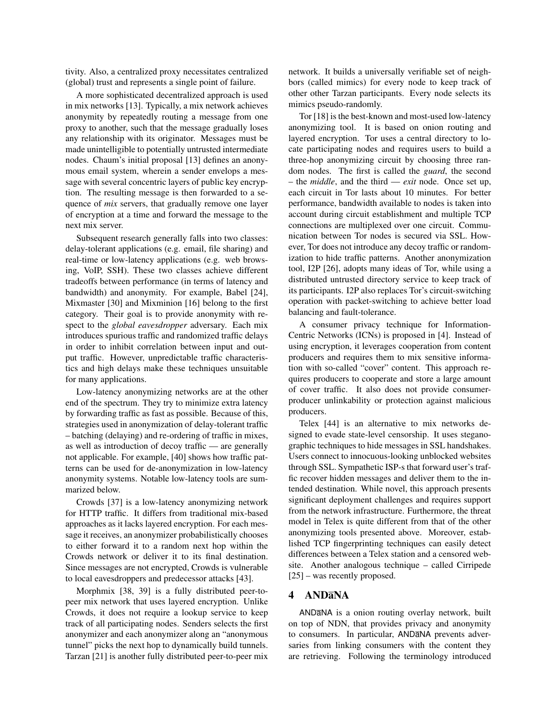tivity. Also, a centralized proxy necessitates centralized (global) trust and represents a single point of failure.

A more sophisticated decentralized approach is used in mix networks [13]. Typically, a mix network achieves anonymity by repeatedly routing a message from one proxy to another, such that the message gradually loses any relationship with its originator. Messages must be made unintelligible to potentially untrusted intermediate nodes. Chaum's initial proposal [13] defines an anonymous email system, wherein a sender envelops a message with several concentric layers of public key encryption. The resulting message is then forwarded to a sequence of *mix* servers, that gradually remove one layer of encryption at a time and forward the message to the next mix server.

Subsequent research generally falls into two classes: delay-tolerant applications (e.g. email, file sharing) and real-time or low-latency applications (e.g. web browsing, VoIP, SSH). These two classes achieve different tradeoffs between performance (in terms of latency and bandwidth) and anonymity. For example, Babel [24], Mixmaster [30] and Mixminion [16] belong to the first category. Their goal is to provide anonymity with respect to the *global eavesdropper* adversary. Each mix introduces spurious traffic and randomized traffic delays in order to inhibit correlation between input and output traffic. However, unpredictable traffic characteristics and high delays make these techniques unsuitable for many applications.

Low-latency anonymizing networks are at the other end of the spectrum. They try to minimize extra latency by forwarding traffic as fast as possible. Because of this, strategies used in anonymization of delay-tolerant traffic – batching (delaying) and re-ordering of traffic in mixes, as well as introduction of decoy traffic — are generally not applicable. For example, [40] shows how traffic patterns can be used for de-anonymization in low-latency anonymity systems. Notable low-latency tools are summarized below.

Crowds [37] is a low-latency anonymizing network for HTTP traffic. It differs from traditional mix-based approaches as it lacks layered encryption. For each message it receives, an anonymizer probabilistically chooses to either forward it to a random next hop within the Crowds network or deliver it to its final destination. Since messages are not encrypted, Crowds is vulnerable to local eavesdroppers and predecessor attacks [43].

Morphmix [38, 39] is a fully distributed peer-topeer mix network that uses layered encryption. Unlike Crowds, it does not require a lookup service to keep track of all participating nodes. Senders selects the first anonymizer and each anonymizer along an "anonymous tunnel" picks the next hop to dynamically build tunnels. Tarzan [21] is another fully distributed peer-to-peer mix

network. It builds a universally verifiable set of neighbors (called mimics) for every node to keep track of other other Tarzan participants. Every node selects its mimics pseudo-randomly.

Tor [18] is the best-known and most-used low-latency anonymizing tool. It is based on onion routing and layered encryption. Tor uses a central directory to locate participating nodes and requires users to build a three-hop anonymizing circuit by choosing three random nodes. The first is called the *guard*, the second – the *middle*, and the third — *exit* node. Once set up, each circuit in Tor lasts about 10 minutes. For better performance, bandwidth available to nodes is taken into account during circuit establishment and multiple TCP connections are multiplexed over one circuit. Communication between Tor nodes is secured via SSL. However, Tor does not introduce any decoy traffic or randomization to hide traffic patterns. Another anonymization tool, I2P [26], adopts many ideas of Tor, while using a distributed untrusted directory service to keep track of its participants. I2P also replaces Tor's circuit-switching operation with packet-switching to achieve better load balancing and fault-tolerance.

A consumer privacy technique for Information-Centric Networks (ICNs) is proposed in [4]. Instead of using encryption, it leverages cooperation from content producers and requires them to mix sensitive information with so-called "cover" content. This approach requires producers to cooperate and store a large amount of cover traffic. It also does not provide consumerproducer unlinkability or protection against malicious producers.

Telex [44] is an alternative to mix networks designed to evade state-level censorship. It uses steganographic techniques to hide messages in SSL handshakes. Users connect to innocuous-looking unblocked websites through SSL. Sympathetic ISP-s that forward user's traffic recover hidden messages and deliver them to the intended destination. While novel, this approach presents significant deployment challenges and requires support from the network infrastructure. Furthermore, the threat model in Telex is quite different from that of the other anonymizing tools presented above. Moreover, established TCP fingerprinting techniques can easily detect differences between a Telex station and a censored website. Another analogous technique – called Cirripede [25] – was recently proposed.

# 4 ANDaNA

ANDaNA is a onion routing overlay network, built on top of NDN, that provides privacy and anonymity to consumers. In particular, ANDaNA prevents adversaries from linking consumers with the content they are retrieving. Following the terminology introduced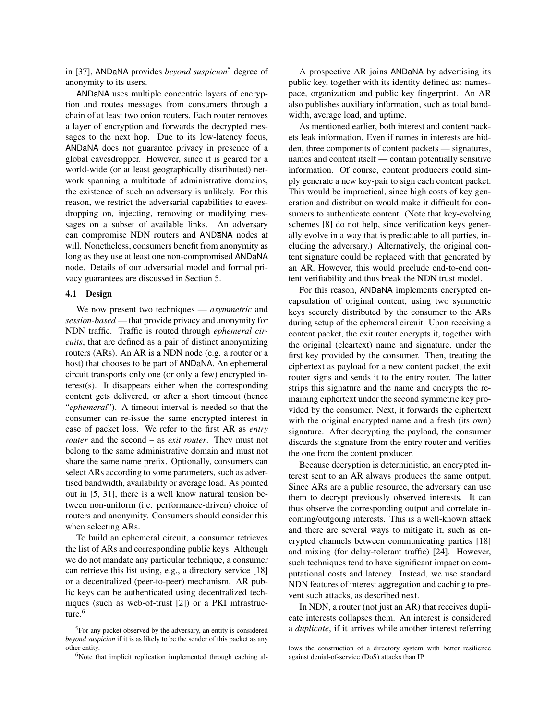in [37], ANDaNA provides *beyond suspicion*<sup>5</sup> degree of anonymity to its users.

ANDaNA uses multiple concentric layers of encryption and routes messages from consumers through a chain of at least two onion routers. Each router removes a layer of encryption and forwards the decrypted messages to the next hop. Due to its low-latency focus, ANDaNA does not guarantee privacy in presence of a global eavesdropper. However, since it is geared for a world-wide (or at least geographically distributed) network spanning a multitude of administrative domains, the existence of such an adversary is unlikely. For this reason, we restrict the adversarial capabilities to eavesdropping on, injecting, removing or modifying messages on a subset of available links. An adversary can compromise NDN routers and ANDaNA nodes at will. Nonetheless, consumers benefit from anonymity as long as they use at least one non-compromised ANDaNA node. Details of our adversarial model and formal privacy guarantees are discussed in Section 5.

### 4.1 Design

We now present two techniques — *asymmetric* and *session-based* — that provide privacy and anonymity for NDN traffic. Traffic is routed through *ephemeral circuits*, that are defined as a pair of distinct anonymizing routers (ARs). An AR is a NDN node (e.g. a router or a host) that chooses to be part of ANDaNA. An ephemeral circuit transports only one (or only a few) encrypted interest(s). It disappears either when the corresponding content gets delivered, or after a short timeout (hence "*ephemeral*"). A timeout interval is needed so that the consumer can re-issue the same encrypted interest in case of packet loss. We refer to the first AR as *entry router* and the second – as *exit router*. They must not belong to the same administrative domain and must not share the same name prefix. Optionally, consumers can select ARs according to some parameters, such as advertised bandwidth, availability or average load. As pointed out in [5, 31], there is a well know natural tension between non-uniform (i.e. performance-driven) choice of routers and anonymity. Consumers should consider this when selecting ARs.

To build an ephemeral circuit, a consumer retrieves the list of ARs and corresponding public keys. Although we do not mandate any particular technique, a consumer can retrieve this list using, e.g., a directory service [18] or a decentralized (peer-to-peer) mechanism. AR public keys can be authenticated using decentralized techniques (such as web-of-trust [2]) or a PKI infrastructure.<sup>6</sup>

A prospective AR joins ANDaNA by advertising its public key, together with its identity defined as: namespace, organization and public key fingerprint. An AR also publishes auxiliary information, such as total bandwidth, average load, and uptime.

As mentioned earlier, both interest and content packets leak information. Even if names in interests are hidden, three components of content packets — signatures, names and content itself — contain potentially sensitive information. Of course, content producers could simply generate a new key-pair to sign each content packet. This would be impractical, since high costs of key generation and distribution would make it difficult for consumers to authenticate content. (Note that key-evolving schemes [8] do not help, since verification keys generally evolve in a way that is predictable to all parties, including the adversary.) Alternatively, the original content signature could be replaced with that generated by an AR. However, this would preclude end-to-end content verifiability and thus break the NDN trust model.

For this reason, ANDaNA implements encrypted encapsulation of original content, using two symmetric keys securely distributed by the consumer to the ARs during setup of the ephemeral circuit. Upon receiving a content packet, the exit router encrypts it, together with the original (cleartext) name and signature, under the first key provided by the consumer. Then, treating the ciphertext as payload for a new content packet, the exit router signs and sends it to the entry router. The latter strips this signature and the name and encrypts the remaining ciphertext under the second symmetric key provided by the consumer. Next, it forwards the ciphertext with the original encrypted name and a fresh (its own) signature. After decrypting the payload, the consumer discards the signature from the entry router and verifies the one from the content producer.

Because decryption is deterministic, an encrypted interest sent to an AR always produces the same output. Since ARs are a public resource, the adversary can use them to decrypt previously observed interests. It can thus observe the corresponding output and correlate incoming/outgoing interests. This is a well-known attack and there are several ways to mitigate it, such as encrypted channels between communicating parties [18] and mixing (for delay-tolerant traffic) [24]. However, such techniques tend to have significant impact on computational costs and latency. Instead, we use standard NDN features of interest aggregation and caching to prevent such attacks, as described next.

In NDN, a router (not just an AR) that receives duplicate interests collapses them. An interest is considered a *duplicate*, if it arrives while another interest referring

<sup>5</sup>For any packet observed by the adversary, an entity is considered *beyond suspicion* if it is as likely to be the sender of this packet as any other entity.

<sup>&</sup>lt;sup>6</sup>Note that implicit replication implemented through caching al-

lows the construction of a directory system with better resilience against denial-of-service (DoS) attacks than IP.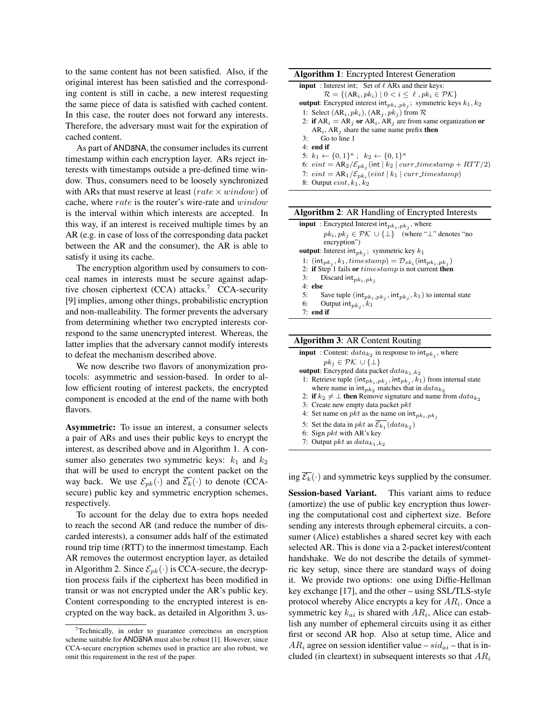to the same content has not been satisfied. Also, if the original interest has been satisfied and the corresponding content is still in cache, a new interest requesting the same piece of data is satisfied with cached content. In this case, the router does not forward any interests. Therefore, the adversary must wait for the expiration of cached content.

As part of ANDaNA, the consumer includes its current timestamp within each encryption layer. ARs reject interests with timestamps outside a pre-defined time window. Thus, consumers need to be loosely synchronized with ARs that must reserve at least (rate  $\times$  window) of cache, where rate is the router's wire-rate and window is the interval within which interests are accepted. In this way, if an interest is received multiple times by an AR (e.g. in case of loss of the corresponding data packet between the AR and the consumer), the AR is able to satisfy it using its cache.

The encryption algorithm used by consumers to conceal names in interests must be secure against adaptive chosen ciphertext (CCA) attacks.<sup>7</sup> CCA-security [9] implies, among other things, probabilistic encryption and non-malleability. The former prevents the adversary from determining whether two encrypted interests correspond to the same unencrypted interest. Whereas, the latter implies that the adversary cannot modify interests to defeat the mechanism described above.

We now describe two flavors of anonymization protocols: asymmetric and session-based. In order to allow efficient routing of interest packets, the encrypted component is encoded at the end of the name with both flavors.

Asymmetric: To issue an interest, a consumer selects a pair of ARs and uses their public keys to encrypt the interest, as described above and in Algorithm 1. A consumer also generates two symmetric keys:  $k_1$  and  $k_2$ that will be used to encrypt the content packet on the way back. We use  $\mathcal{E}_{pk}(\cdot)$  and  $\mathcal{E}_k(\cdot)$  to denote (CCAsecure) public key and symmetric encryption schemes, respectively.

To account for the delay due to extra hops needed to reach the second AR (and reduce the number of discarded interests), a consumer adds half of the estimated round trip time (RTT) to the innermost timestamp. Each AR removes the outermost encryption layer, as detailed in Algorithm 2. Since  $\mathcal{E}_{pk}(\cdot)$  is CCA-secure, the decryption process fails if the ciphertext has been modified in transit or was not encrypted under the AR's public key. Content corresponding to the encrypted interest is encrypted on the way back, as detailed in Algorithm 3, us-

8: Output  $\mathit{eint}, k_1, k_2$ 

| <b>Algorithm 2:</b> AR Handling of Encrypted Interests                                   |  |  |  |  |
|------------------------------------------------------------------------------------------|--|--|--|--|
| <b>input</b> : Encrypted Interest $int_{pk_i, pk_j}$ , where                             |  |  |  |  |
| $pk_i, pk_j \in \mathcal{PK} \cup \{\perp\}$ (where " $\perp$ " denotes "no              |  |  |  |  |
| encryption")                                                                             |  |  |  |  |
| <b>output</b> : Interest int <sub>pk;</sub> ; symmetric key $k_1$                        |  |  |  |  |
| 1: $(\text{int}_{pk_i}, k_1, timestamp) = \mathcal{D}_{sk_i}(\text{int}_{pk_i, pk_i})$   |  |  |  |  |
| 2: if Step 1 fails or $timestamp$ is not current then                                    |  |  |  |  |
| Discard int $_{pk_i, pk_j}$<br>3:                                                        |  |  |  |  |
| $4:$ else                                                                                |  |  |  |  |
| 5:<br>Save tuple ( $\int \int_{B_k}$ , $pk_j$ , $int_{pk_j}$ , $k_1$ ) to internal state |  |  |  |  |
| 6:<br>Output int $_{pk_j}$ , $k_1$                                                       |  |  |  |  |

7: end if

ing  $\overline{\mathcal{E}_k}(\cdot)$  and symmetric keys supplied by the consumer.

Session-based Variant. This variant aims to reduce (amortize) the use of public key encryption thus lowering the computational cost and ciphertext size. Before sending any interests through ephemeral circuits, a consumer (Alice) establishes a shared secret key with each selected AR. This is done via a 2-packet interest/content handshake. We do not describe the details of symmetric key setup, since there are standard ways of doing it. We provide two options: one using Diffie-Hellman key exchange [17], and the other – using SSL/TLS-style protocol whereby Alice encrypts a key for  $AR_i$ . Once a symmetric key  $k_{ai}$  is shared with  $AR_i$ , Alice can establish any number of ephemeral circuits using it as either first or second AR hop. Also at setup time, Alice and  $AR_i$  agree on session identifier value –  $sid_{ai}$  – that is included (in cleartext) in subsequent interests so that  $AR_i$ 

 $7$ Technically, in order to guarantee correctness an encryption scheme suitable for ANDaNA must also be robust [1]. However, since CCA-secure encryption schemes used in practice are also robust, we omit this requirement in the rest of the paper.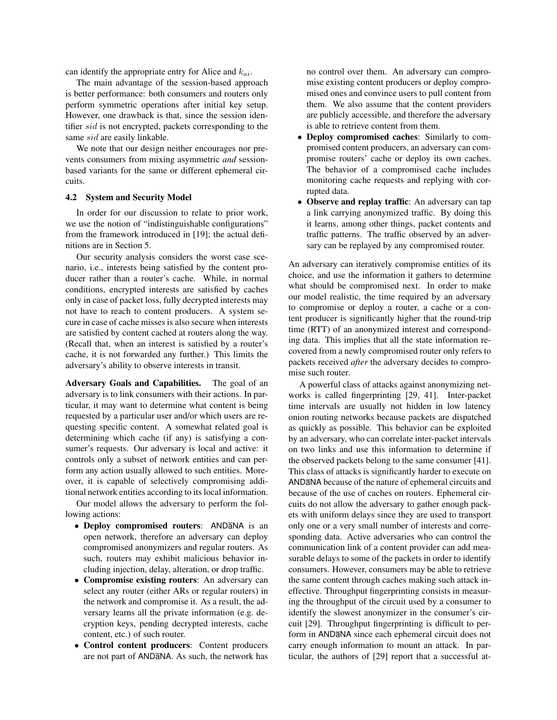can identify the appropriate entry for Alice and  $k_{ai}$ .

The main advantage of the session-based approach is better performance: both consumers and routers only perform symmetric operations after initial key setup. However, one drawback is that, since the session identifier sid is not encrypted, packets corresponding to the same sid are easily linkable.

We note that our design neither encourages nor prevents consumers from mixing asymmetric *and* sessionbased variants for the same or different ephemeral circuits.

### 4.2 System and Security Model

In order for our discussion to relate to prior work, we use the notion of "indistinguishable configurations" from the framework introduced in [19]; the actual definitions are in Section 5.

Our security analysis considers the worst case scenario, i.e., interests being satisfied by the content producer rather than a router's cache. While, in normal conditions, encrypted interests are satisfied by caches only in case of packet loss, fully decrypted interests may not have to reach to content producers. A system secure in case of cache misses is also secure when interests are satisfied by content cached at routers along the way. (Recall that, when an interest is satisfied by a router's cache, it is not forwarded any further.) This limits the adversary's ability to observe interests in transit.

Adversary Goals and Capabilities. The goal of an adversary is to link consumers with their actions. In particular, it may want to determine what content is being requested by a particular user and/or which users are requesting specific content. A somewhat related goal is determining which cache (if any) is satisfying a consumer's requests. Our adversary is local and active: it controls only a subset of network entities and can perform any action usually allowed to such entities. Moreover, it is capable of selectively compromising additional network entities according to its local information.

Our model allows the adversary to perform the following actions:

- Deploy compromised routers: ANDANA is an open network, therefore an adversary can deploy compromised anonymizers and regular routers. As such, routers may exhibit malicious behavior including injection, delay, alteration, or drop traffic.
- Compromise existing routers: An adversary can select any router (either ARs or regular routers) in the network and compromise it. As a result, the adversary learns all the private information (e.g. decryption keys, pending decrypted interests, cache content, etc.) of such router.
- Control content producers: Content producers are not part of ANDaNA. As such, the network has

no control over them. An adversary can compromise existing content producers or deploy compromised ones and convince users to pull content from them. We also assume that the content providers are publicly accessible, and therefore the adversary is able to retrieve content from them.

- Deploy compromised caches: Similarly to compromised content producers, an adversary can compromise routers' cache or deploy its own caches. The behavior of a compromised cache includes monitoring cache requests and replying with corrupted data.
- Observe and replay traffic: An adversary can tap a link carrying anonymized traffic. By doing this it learns, among other things, packet contents and traffic patterns. The traffic observed by an adversary can be replayed by any compromised router.

An adversary can iteratively compromise entities of its choice, and use the information it gathers to determine what should be compromised next. In order to make our model realistic, the time required by an adversary to compromise or deploy a router, a cache or a content producer is significantly higher that the round-trip time (RTT) of an anonymized interest and corresponding data. This implies that all the state information recovered from a newly compromised router only refers to packets received *after* the adversary decides to compromise such router.

A powerful class of attacks against anonymizing networks is called fingerprinting [29, 41]. Inter-packet time intervals are usually not hidden in low latency onion routing networks because packets are dispatched as quickly as possible. This behavior can be exploited by an adversary, who can correlate inter-packet intervals on two links and use this information to determine if the observed packets belong to the same consumer [41]. This class of attacks is significantly harder to execute on ANDaNA because of the nature of ephemeral circuits and because of the use of caches on routers. Ephemeral circuits do not allow the adversary to gather enough packets with uniform delays since they are used to transport only one or a very small number of interests and corresponding data. Active adversaries who can control the communication link of a content provider can add measurable delays to some of the packets in order to identify consumers. However, consumers may be able to retrieve the same content through caches making such attack ineffective. Throughput fingerprinting consists in measuring the throughput of the circuit used by a consumer to identify the slowest anonymizer in the consumer's circuit [29]. Throughput fingerprinting is difficult to perform in ANDaNA since each ephemeral circuit does not carry enough information to mount an attack. In particular, the authors of [29] report that a successful at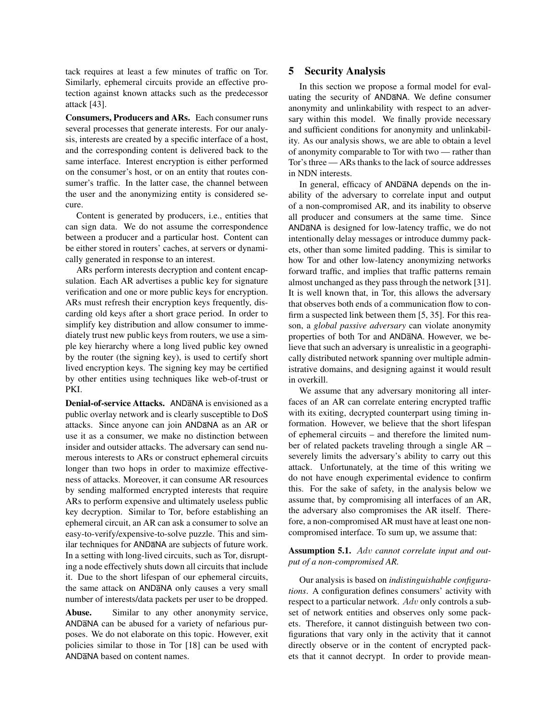tack requires at least a few minutes of traffic on Tor. Similarly, ephemeral circuits provide an effective protection against known attacks such as the predecessor attack [43].

Consumers, Producers and ARs. Each consumer runs several processes that generate interests. For our analysis, interests are created by a specific interface of a host, and the corresponding content is delivered back to the same interface. Interest encryption is either performed on the consumer's host, or on an entity that routes consumer's traffic. In the latter case, the channel between the user and the anonymizing entity is considered secure.

Content is generated by producers, i.e., entities that can sign data. We do not assume the correspondence between a producer and a particular host. Content can be either stored in routers' caches, at servers or dynamically generated in response to an interest.

ARs perform interests decryption and content encapsulation. Each AR advertises a public key for signature verification and one or more public keys for encryption. ARs must refresh their encryption keys frequently, discarding old keys after a short grace period. In order to simplify key distribution and allow consumer to immediately trust new public keys from routers, we use a simple key hierarchy where a long lived public key owned by the router (the signing key), is used to certify short lived encryption keys. The signing key may be certified by other entities using techniques like web-of-trust or PKI.

Denial-of-service Attacks. ANDANA is envisioned as a public overlay network and is clearly susceptible to DoS attacks. Since anyone can join ANDaNA as an AR or use it as a consumer, we make no distinction between insider and outsider attacks. The adversary can send numerous interests to ARs or construct ephemeral circuits longer than two hops in order to maximize effectiveness of attacks. Moreover, it can consume AR resources by sending malformed encrypted interests that require ARs to perform expensive and ultimately useless public key decryption. Similar to Tor, before establishing an ephemeral circuit, an AR can ask a consumer to solve an easy-to-verify/expensive-to-solve puzzle. This and similar techniques for ANDaNA are subjects of future work. In a setting with long-lived circuits, such as Tor, disrupting a node effectively shuts down all circuits that include it. Due to the short lifespan of our ephemeral circuits, the same attack on ANDaNA only causes a very small number of interests/data packets per user to be dropped.

Abuse. Similar to any other anonymity service, ANDaNA can be abused for a variety of nefarious purposes. We do not elaborate on this topic. However, exit policies similar to those in Tor [18] can be used with ANDaNA based on content names.

# 5 Security Analysis

In this section we propose a formal model for evaluating the security of ANDaNA. We define consumer anonymity and unlinkability with respect to an adversary within this model. We finally provide necessary and sufficient conditions for anonymity and unlinkability. As our analysis shows, we are able to obtain a level of anonymity comparable to Tor with two — rather than Tor's three — ARs thanks to the lack of source addresses in NDN interests.

In general, efficacy of ANDaNA depends on the inability of the adversary to correlate input and output of a non-compromised AR, and its inability to observe all producer and consumers at the same time. Since ANDaNA is designed for low-latency traffic, we do not intentionally delay messages or introduce dummy packets, other than some limited padding. This is similar to how Tor and other low-latency anonymizing networks forward traffic, and implies that traffic patterns remain almost unchanged as they pass through the network [31]. It is well known that, in Tor, this allows the adversary that observes both ends of a communication flow to confirm a suspected link between them [5, 35]. For this reason, a *global passive adversary* can violate anonymity properties of both Tor and ANDaNA. However, we believe that such an adversary is unrealistic in a geographically distributed network spanning over multiple administrative domains, and designing against it would result in overkill.

We assume that any adversary monitoring all interfaces of an AR can correlate entering encrypted traffic with its exiting, decrypted counterpart using timing information. However, we believe that the short lifespan of ephemeral circuits – and therefore the limited number of related packets traveling through a single AR – severely limits the adversary's ability to carry out this attack. Unfortunately, at the time of this writing we do not have enough experimental evidence to confirm this. For the sake of safety, in the analysis below we assume that, by compromising all interfaces of an AR, the adversary also compromises the AR itself. Therefore, a non-compromised AR must have at least one noncompromised interface. To sum up, we assume that:

# Assumption 5.1. Adv *cannot correlate input and output of a non-compromised AR.*

Our analysis is based on *indistinguishable configurations*. A configuration defines consumers' activity with respect to a particular network. Adv only controls a subset of network entities and observes only some packets. Therefore, it cannot distinguish between two configurations that vary only in the activity that it cannot directly observe or in the content of encrypted packets that it cannot decrypt. In order to provide mean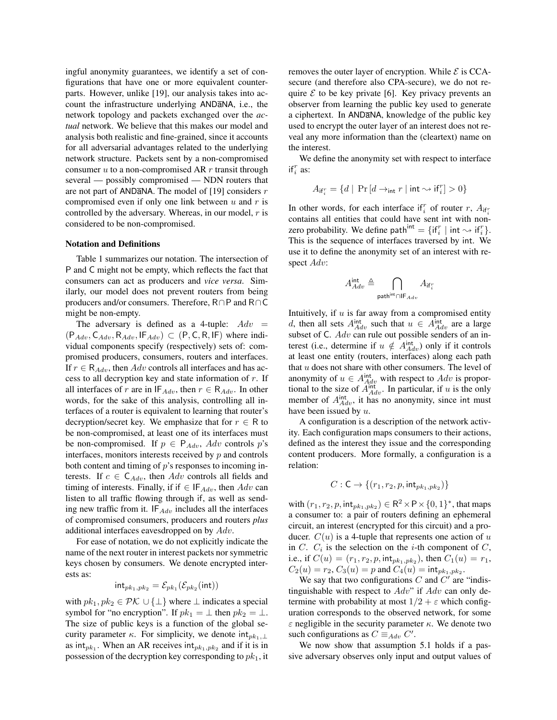ingful anonymity guarantees, we identify a set of configurations that have one or more equivalent counterparts. However, unlike [19], our analysis takes into account the infrastructure underlying ANDaNA, i.e., the network topology and packets exchanged over the *actual* network. We believe that this makes our model and analysis both realistic and fine-grained, since it accounts for all adversarial advantages related to the underlying network structure. Packets sent by a non-compromised consumer  $u$  to a non-compromised AR  $r$  transit through several — possibly compromised — NDN routers that are not part of ANDaNA. The model of [19] considers  $r$ compromised even if only one link between  $u$  and  $r$  is controlled by the adversary. Whereas, in our model, r is considered to be non-compromised.

#### Notation and Definitions

Table 1 summarizes our notation. The intersection of P and C might not be empty, which reflects the fact that consumers can act as producers and *vice versa*. Similarly, our model does not prevent routers from being producers and/or consumers. Therefore, R∩P and R∩C might be non-empty.

The adversary is defined as a 4-tuple:  $Adv =$  $(P_{Adv}, C_{Adv}, R_{Adv}, IF_{Adv}) \subset (P, C, R, IF)$  where individual components specify (respectively) sets of: compromised producers, consumers, routers and interfaces. If  $r \in \mathsf{R}_{Adv}$ , then  $Adv$  controls all interfaces and has access to all decryption key and state information of r. If all interfaces of r are in  $IF_{Adv}$ , then  $r \in R_{Adv}$ . In other words, for the sake of this analysis, controlling all interfaces of a router is equivalent to learning that router's decryption/secret key. We emphasize that for  $r \in R$  to be non-compromised, at least one of its interfaces must be non-compromised. If  $p \in P_{Adv}$ , Adv controls p's interfaces, monitors interests received by  $p$  and controls both content and timing of  $p$ 's responses to incoming interests. If  $c \in C_{Adv}$ , then Adv controls all fields and timing of interests. Finally, if if  $\in$  IF<sub>Adv</sub>, then Adv can listen to all traffic flowing through if, as well as sending new traffic from it.  $IF_{Adv}$  includes all the interfaces of compromised consumers, producers and routers *plus* additional interfaces eavesdropped on by Adv.

For ease of notation, we do not explicitly indicate the name of the next router in interest packets nor symmetric keys chosen by consumers. We denote encrypted interests as:

$$
\mathsf{int}_{pk_1, pk_2} = \mathcal{E}_{pk_1}(\mathcal{E}_{pk_2}(\mathsf{int}))
$$

with  $pk_1, pk_2 \in \mathcal{PK} \cup \{\perp\}$  where  $\perp$  indicates a special symbol for "no encryption". If  $pk_1 = \perp$  then  $pk_2 = \perp$ . The size of public keys is a function of the global security parameter  $\kappa$ . For simplicity, we denote int<sub>pk1,</sub> as int<sub>pk1</sub>. When an AR receives int<sub>pk1,pk2</sub> and if it is in possession of the decryption key corresponding to  $pk<sub>1</sub>$ , it removes the outer layer of encryption. While  $\mathcal E$  is CCAsecure (and therefore also CPA-secure), we do not require  $\mathcal E$  to be key private [6]. Key privacy prevents an observer from learning the public key used to generate a ciphertext. In ANDaNA, knowledge of the public key used to encrypt the outer layer of an interest does not reveal any more information than the (cleartext) name on the interest.

We define the anonymity set with respect to interface if  $i^r$  as:

$$
A_{\mathsf{if}_i^r} = \{ d \mid \, \Pr\left[ d \rightarrow_{\mathsf{int}} r \mid \mathsf{int} \leadsto \mathsf{if}_i^r \right] > 0 \}
$$

In other words, for each interface if  $i$  of router r,  $A_{if_i}$ contains all entities that could have sent int with nonzero probability. We define path<sup>int</sup>  $= \{ \text{if}_i^r \mid \text{int} \leadsto \text{if}_i^r \}.$ This is the sequence of interfaces traversed by int. We use it to define the anonymity set of an interest with respect Adv:

$$
A_{Adv}^{\text{int}} \triangleq \bigcap_{\text{path}^{\text{int}} \cap \mathsf{IF}_{Adv}} A_{\mathsf{if}_i^r}
$$

Intuitively, if  $u$  is far away from a compromised entity d, then all sets  $A_{Adv}^{int}$  such that  $u \in A_{Adv}^{int}$  are a large subset of  $C$ . Adv can rule out possible senders of an interest (i.e., determine if  $u \notin A_{Adv}^{\text{int}}$ ) only if it controls at least one entity (routers, interfaces) along each path that  $u$  does not share with other consumers. The level of anonymity of  $u \in A_{Adv}^{\text{int}}$  with respect to  $Adv$  is proportional to the size of  $\overline{A}_{Adv}^{int}$ . In particular, if u is the only member of  $A_{Adv}^{int}$ , it has no anonymity, since int must have been issued by  $u$ .

A configuration is a description of the network activity. Each configuration maps consumers to their actions, defined as the interest they issue and the corresponding content producers. More formally, a configuration is a relation:

$$
C: \mathsf{C} \to \{(r_1, r_2, p, \mathsf{int}_{pk_1, pk_2})\}
$$

with  $(r_1, r_2, p, \text{int}_{pk_1, pk_2}) \in \mathbb{R}^2 \times \mathbb{P} \times \{0, 1\}^*$ , that maps a consumer to: a pair of routers defining an ephemeral circuit, an interest (encrypted for this circuit) and a producer.  $C(u)$  is a 4-tuple that represents one action of u in C.  $C_i$  is the selection on the *i*-th component of C, i.e., if  $C(u) = (r_1, r_2, p, \text{int}_{pk_1, pk_2})$ , then  $C_1(u) = r_1$ ,  $C_2(u) = r_2, C_3(u) = p$  and  $C_4(u) = \mathsf{int}_{pk_1, pk_2}.$ 

We say that two configurations  $C$  and  $C'$  are "indistinguishable with respect to  $Adv$ " if  $Adv$  can only determine with probability at most  $1/2 + \varepsilon$  which configuration corresponds to the observed network, for some  $\varepsilon$  negligible in the security parameter  $\kappa$ . We denote two such configurations as  $C \equiv_{Adv} C'$ .

We now show that assumption 5.1 holds if a passive adversary observes only input and output values of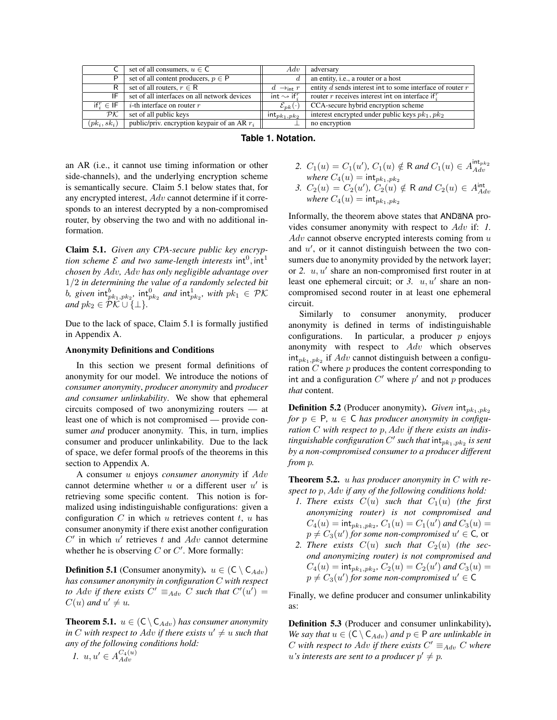|                          | set of all consumers, $u \in \mathsf{C}$       | Adv                                   | adversary                                                     |
|--------------------------|------------------------------------------------|---------------------------------------|---------------------------------------------------------------|
| P                        | set of all content producers, $p \in P$        |                                       | an entity, i.e., a router or a host                           |
| R                        | set of all routers, $r \in \mathsf{R}$         | $\rightarrow$ int T<br>$\mathfrak{a}$ | entity $d$ sends interest int to some interface of router $r$ |
| IF                       | set of all interfaces on all network devices   | int $\rightsquigarrow$ if $^r$ .      | router r receives interest int on interface if.               |
| if $f \in \mathsf{IF}$   | <i>i</i> -th interface on router $r$           | $\mathcal{E}_{\bm{p}\bm{k}}(\cdot)$   | CCA-secure hybrid encryption scheme                           |
| $\mathcal{P}\mathcal{K}$ | set of all public keys                         | $int_{pk_1, pk_2}$                    | interest encrypted under public keys $pk_1$ , $pk_2$          |
| $(pk_i, sk_i)$           | public/priv. encryption keypair of an AR $r_i$ |                                       | no encryption                                                 |

### **Table 1. Notation.**

an AR (i.e., it cannot use timing information or other side-channels), and the underlying encryption scheme is semantically secure. Claim 5.1 below states that, for any encrypted interest, Adv cannot determine if it corresponds to an interest decrypted by a non-compromised router, by observing the two and with no additional information.

Claim 5.1. *Given any CPA-secure public key encryption scheme*  $\mathcal E$  *and two same-length interests*  $\text{int}^0, \text{int}^1$ *chosen by* Adv*,* Adv *has only negligible advantage over* 1/2 *in determining the value of a randomly selected bit*  $b$ , given  $\mathsf{int}_{pk_1, pk_2}^b$ ,  $\mathsf{int}_{pk_2}^0$  and  $\mathsf{int}_{pk_2}^1$ , with  $pk_1 \in \mathcal{PK}$ *and*  $pk_2 \in \overline{PK} \cup {\{\perp\}}$ .

Due to the lack of space, Claim 5.1 is formally justified in Appendix A.

### Anonymity Definitions and Conditions

In this section we present formal definitions of anonymity for our model. We introduce the notions of *consumer anonymity*, *producer anonymity* and *producer and consumer unlinkability*. We show that ephemeral circuits composed of two anonymizing routers — at least one of which is not compromised — provide consumer *and* producer anonymity. This, in turn, implies consumer and producer unlinkability. Due to the lack of space, we defer formal proofs of the theorems in this section to Appendix A.

A consumer u enjoys *consumer anonymity* if Adv cannot determine whether  $u$  or a different user  $u'$  is retrieving some specific content. This notion is formalized using indistinguishable configurations: given a configuration  $C$  in which  $u$  retrieves content  $t$ ,  $u$  has consumer anonymity if there exist another configuration  $C'$  in which  $u'$  retrieves t and  $Adv$  cannot determine whether he is observing  $C$  or  $C'$ . More formally:

**Definition 5.1** (Consumer anonymity).  $u \in (C \setminus C_{Adv})$ *has consumer anonymity in configuration* C *with respect* to Adv if there exists  $C' \equiv_{Adv} C$  such that  $C'(u') =$  $C(u)$  and  $u' \neq u$ .

**Theorem 5.1.**  $u \in (C \setminus C_{Adv})$  *has consumer anonymity in* C with respect to Adv if there exists  $u' \neq u$  such that *any of the following conditions hold:*

$$
l. \ u, u' \in A_{Adv}^{C_4(u)}
$$

2. 
$$
C_1(u) = C_1(u')
$$
,  $C_1(u) \notin \mathsf{R}$  and  $C_1(u) \in A_{Adv}^{\text{int}_{pk_2}}$   
where  $C_4(u) = \text{int}_{pk_1, pk_2}$ 

*3.*  $C_2(u) = C_2(u')$ ,  $C_2(u) \notin \mathsf{R}$  and  $C_2(u) \in A_{Adv}^{int}$ <br>*where*  $C_4(u) = \text{int}_{pk_1, pk_2}$ 

Informally, the theorem above states that ANDaNA provides consumer anonymity with respect to Adv if: *1.*  $Adv$  cannot observe encrypted interests coming from  $u$ and  $u'$ , or it cannot distinguish between the two consumers due to anonymity provided by the network layer; or 2.  $u, u'$  share an non-compromised first router in at least one ephemeral circuit; or  $3. u, u'$  share an noncompromised second router in at least one ephemeral circuit.

Similarly to consumer anonymity, producer anonymity is defined in terms of indistinguishable configurations. In particular, a producer  $p$  enjoys anonymity with respect to Adv which observes  $int_{pk_1, pk_2}$  if  $Adv$  cannot distinguish between a configuration  $C$  where  $p$  produces the content corresponding to int and a configuration  $C'$  where  $p'$  and not  $p$  produces *that* content.

**Definition 5.2** (Producer anonymity). *Given*  $int_{pk_1,pk_2}$ *for*  $p \in P$ ,  $u \in C$  *has producer anonymity in configuration* C *with respect to* p, Adv *if there exists an indis*tinguishable configuration  $C'$  such that  $\text{int}_{pk_1, pk_2}$  is sent *by a non-compromised consumer to a producer different from* p*.*

Theorem 5.2. u *has producer anonymity in* C *with respect to* p, Adv *if any of the following conditions hold:*

- *1. There exists*  $C(u)$  *such that*  $C_1(u)$  *(the first anonymizing router) is not compromised and*  $C_4(u) = \mathsf{int}_{pk_1, pk_2}, C_1(u) = C_1(u')$  and  $C_3(u) =$  $p \neq C_3(u')$  for some non-compromised  $u' \in \mathsf{C}$ , or
- 2. There exists  $C(u)$  such that  $C_2(u)$  (the sec*ond anonymizing router) is not compromised and*  $C_4(u) = \mathsf{int}_{pk_1, pk_2}, C_2(u) = C_2(u')$  and  $C_3(u) =$  $p \neq C_3(u')$  for some non-compromised  $u' \in \mathsf{C}$

Finally, we define producer and consumer unlinkability as:

Definition 5.3 (Producer and consumer unlinkability). *We say that*  $u \in (C \setminus C_{Adv})$  *and*  $p \in P$  *are unlinkable in* C with respect to Adv if there exists  $C' \equiv_{Adv} C$  where  $u$ 's interests are sent to a producer  $p' \neq p$ .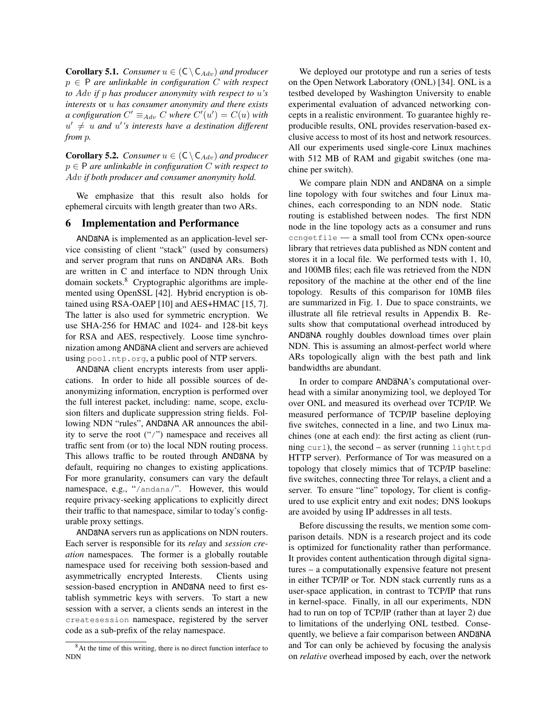**Corollary 5.1.** *Consumer*  $u \in (C \setminus C_{Adv})$  *and producer* p ∈ P *are unlinkable in configuration* C *with respect to* Adv *if* p *has producer anonymity with respect to* u*'s interests* or u *has consumer anonymity and there exists a* configuration  $C' \equiv_{Adv} C$  where  $C'(u') = C(u)$  with  $u' \neq u$  and  $u'$ 's interests have a destination different *from* p*.*

**Corollary 5.2.** *Consumer*  $u \in (C \setminus C_{Adv})$  *and producer* p ∈ P *are unlinkable in configuration* C *with respect to* Adv *if both producer and consumer anonymity hold.*

We emphasize that this result also holds for ephemeral circuits with length greater than two ARs.

## 6 Implementation and Performance

ANDaNA is implemented as an application-level service consisting of client "stack" (used by consumers) and server program that runs on ANDaNA ARs. Both are written in C and interface to NDN through Unix domain sockets.<sup>8</sup> Cryptographic algorithms are implemented using OpenSSL [42]. Hybrid encryption is obtained using RSA-OAEP [10] and AES+HMAC [15, 7]. The latter is also used for symmetric encryption. We use SHA-256 for HMAC and 1024- and 128-bit keys for RSA and AES, respectively. Loose time synchronization among ANDaNA client and servers are achieved using pool.ntp.org, a public pool of NTP servers.

ANDaNA client encrypts interests from user applications. In order to hide all possible sources of deanonymizing information, encryption is performed over the full interest packet, including: name, scope, exclusion filters and duplicate suppression string fields. Following NDN "rules", ANDANA AR announces the ability to serve the root ("/") namespace and receives all traffic sent from (or to) the local NDN routing process. This allows traffic to be routed through ANDaNA by default, requiring no changes to existing applications. For more granularity, consumers can vary the default namespace, e.g., "/andana/". However, this would require privacy-seeking applications to explicitly direct their traffic to that namespace, similar to today's configurable proxy settings.

ANDaNA servers run as applications on NDN routers. Each server is responsible for its *relay* and *session creation* namespaces. The former is a globally routable namespace used for receiving both session-based and asymmetrically encrypted Interests. Clients using session-based encryption in ANDaNA need to first establish symmetric keys with servers. To start a new session with a server, a clients sends an interest in the createsession namespace, registered by the server code as a sub-prefix of the relay namespace.

We deployed our prototype and run a series of tests on the Open Network Laboratory (ONL) [34]. ONL is a testbed developed by Washington University to enable experimental evaluation of advanced networking concepts in a realistic environment. To guarantee highly reproducible results, ONL provides reservation-based exclusive access to most of its host and network resources. All our experiments used single-core Linux machines with 512 MB of RAM and gigabit switches (one machine per switch).

We compare plain NDN and ANDaNA on a simple line topology with four switches and four Linux machines, each corresponding to an NDN node. Static routing is established between nodes. The first NDN node in the line topology acts as a consumer and runs ccngetfile — a small tool from CCNx open-source library that retrieves data published as NDN content and stores it in a local file. We performed tests with 1, 10, and 100MB files; each file was retrieved from the NDN repository of the machine at the other end of the line topology. Results of this comparison for 10MB files are summarized in Fig. 1. Due to space constraints, we illustrate all file retrieval results in Appendix B. Results show that computational overhead introduced by ANDaNA roughly doubles download times over plain NDN. This is assuming an almost-perfect world where ARs topologically align with the best path and link bandwidths are abundant.

In order to compare ANDaNA's computational overhead with a similar anonymizing tool, we deployed Tor over ONL and measured its overhead over TCP/IP. We measured performance of TCP/IP baseline deploying five switches, connected in a line, and two Linux machines (one at each end): the first acting as client (running curl), the second – as server (running lighttpd HTTP server). Performance of Tor was measured on a topology that closely mimics that of TCP/IP baseline: five switches, connecting three Tor relays, a client and a server. To ensure "line" topology, Tor client is configured to use explicit entry and exit nodes; DNS lookups are avoided by using IP addresses in all tests.

Before discussing the results, we mention some comparison details. NDN is a research project and its code is optimized for functionality rather than performance. It provides content authentication through digital signatures – a computationally expensive feature not present in either TCP/IP or Tor. NDN stack currently runs as a user-space application, in contrast to TCP/IP that runs in kernel-space. Finally, in all our experiments, NDN had to run on top of TCP/IP (rather than at layer 2) due to limitations of the underlying ONL testbed. Consequently, we believe a fair comparison between ANDaNA and Tor can only be achieved by focusing the analysis on *relative* overhead imposed by each, over the network

<sup>&</sup>lt;sup>8</sup>At the time of this writing, there is no direct function interface to NDN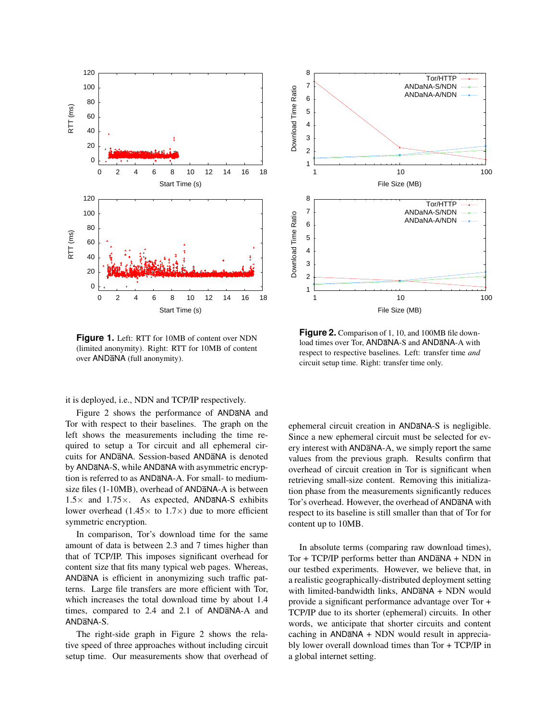

**Figure 1.** Left: RTT for 10MB of content over NDN (limited anonymity). Right: RTT for 10MB of content over ANDaNA (full anonymity).

it is deployed, i.e., NDN and TCP/IP respectively.

Figure 2 shows the performance of ANDANA and Tor with respect to their baselines. The graph on the left shows the measurements including the time required to setup a Tor circuit and all ephemeral circuits for ANDaNA. Session-based ANDaNA is denoted by ANDaNA-S, while ANDaNA with asymmetric encryption is referred to as ANDaNA-A. For small- to mediumsize files (1-10MB), overhead of ANDaNA-A is between  $1.5\times$  and  $1.75\times$ . As expected, ANDANA-S exhibits lower overhead (1.45 $\times$  to 1.7 $\times$ ) due to more efficient symmetric encryption.

In comparison, Tor's download time for the same amount of data is between 2.3 and 7 times higher than that of TCP/IP. This imposes significant overhead for content size that fits many typical web pages. Whereas, ANDaNA is efficient in anonymizing such traffic patterns. Large file transfers are more efficient with Tor, which increases the total download time by about 1.4 times, compared to 2.4 and 2.1 of ANDaNA-A and AND<sub>a</sub>NA-S.

The right-side graph in Figure 2 shows the relative speed of three approaches without including circuit setup time. Our measurements show that overhead of



**Figure 2.** Comparison of 1, 10, and 100MB file download times over Tor, ANDANA-S and ANDANA-A with respect to respective baselines. Left: transfer time *and* circuit setup time. Right: transfer time only.

ephemeral circuit creation in ANDaNA-S is negligible. Since a new ephemeral circuit must be selected for every interest with ANDaNA-A, we simply report the same values from the previous graph. Results confirm that overhead of circuit creation in Tor is significant when retrieving small-size content. Removing this initialization phase from the measurements significantly reduces Tor's overhead. However, the overhead of ANDaNA with respect to its baseline is still smaller than that of Tor for content up to 10MB.

In absolute terms (comparing raw download times), Tor + TCP/IP performs better than ANDaNA + NDN in our testbed experiments. However, we believe that, in a realistic geographically-distributed deployment setting with limited-bandwidth links, ANDaNA + NDN would provide a significant performance advantage over Tor + TCP/IP due to its shorter (ephemeral) circuits. In other words, we anticipate that shorter circuits and content  $caching$  in  $AND\overline{a}NA + NDN$  would result in appreciably lower overall download times than Tor + TCP/IP in a global internet setting.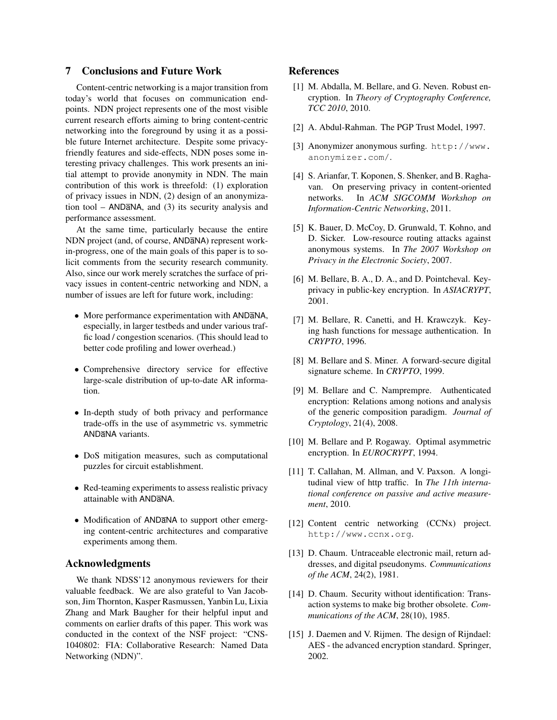# 7 Conclusions and Future Work

Content-centric networking is a major transition from today's world that focuses on communication endpoints. NDN project represents one of the most visible current research efforts aiming to bring content-centric networking into the foreground by using it as a possible future Internet architecture. Despite some privacyfriendly features and side-effects, NDN poses some interesting privacy challenges. This work presents an initial attempt to provide anonymity in NDN. The main contribution of this work is threefold: (1) exploration of privacy issues in NDN, (2) design of an anonymization tool –  $AND\overline{a}NA$ , and (3) its security analysis and performance assessment.

At the same time, particularly because the entire NDN project (and, of course, ANDaNA) represent workin-progress, one of the main goals of this paper is to solicit comments from the security research community. Also, since our work merely scratches the surface of privacy issues in content-centric networking and NDN, a number of issues are left for future work, including:

- More performance experimentation with ANDaNA, especially, in larger testbeds and under various traffic load / congestion scenarios. (This should lead to better code profiling and lower overhead.)
- Comprehensive directory service for effective large-scale distribution of up-to-date AR information.
- In-depth study of both privacy and performance trade-offs in the use of asymmetric vs. symmetric ANDaNA variants.
- DoS mitigation measures, such as computational puzzles for circuit establishment.
- Red-teaming experiments to assess realistic privacy attainable with ANDaNA.
- Modification of ANDaNA to support other emerging content-centric architectures and comparative experiments among them.

# Acknowledgments

We thank NDSS'12 anonymous reviewers for their valuable feedback. We are also grateful to Van Jacobson, Jim Thornton, Kasper Rasmussen, Yanbin Lu, Lixia Zhang and Mark Baugher for their helpful input and comments on earlier drafts of this paper. This work was conducted in the context of the NSF project: "CNS-1040802: FIA: Collaborative Research: Named Data Networking (NDN)".

## References

- [1] M. Abdalla, M. Bellare, and G. Neven. Robust encryption. In *Theory of Cryptography Conference, TCC 2010*, 2010.
- [2] A. Abdul-Rahman. The PGP Trust Model, 1997.
- [3] Anonymizer anonymous surfing. http://www. anonymizer.com/.
- [4] S. Arianfar, T. Koponen, S. Shenker, and B. Raghavan. On preserving privacy in content-oriented networks. In *ACM SIGCOMM Workshop on Information-Centric Networking*, 2011.
- [5] K. Bauer, D. McCoy, D. Grunwald, T. Kohno, and D. Sicker. Low-resource routing attacks against anonymous systems. In *The 2007 Workshop on Privacy in the Electronic Society*, 2007.
- [6] M. Bellare, B. A., D. A., and D. Pointcheval. Keyprivacy in public-key encryption. In *ASIACRYPT*, 2001.
- [7] M. Bellare, R. Canetti, and H. Krawczyk. Keying hash functions for message authentication. In *CRYPTO*, 1996.
- [8] M. Bellare and S. Miner. A forward-secure digital signature scheme. In *CRYPTO*, 1999.
- [9] M. Bellare and C. Namprempre. Authenticated encryption: Relations among notions and analysis of the generic composition paradigm. *Journal of Cryptology*, 21(4), 2008.
- [10] M. Bellare and P. Rogaway. Optimal asymmetric encryption. In *EUROCRYPT*, 1994.
- [11] T. Callahan, M. Allman, and V. Paxson. A longitudinal view of http traffic. In *The 11th international conference on passive and active measurement*, 2010.
- [12] Content centric networking (CCNx) project. http://www.ccnx.org.
- [13] D. Chaum. Untraceable electronic mail, return addresses, and digital pseudonyms. *Communications of the ACM*, 24(2), 1981.
- [14] D. Chaum. Security without identification: Transaction systems to make big brother obsolete. *Communications of the ACM*, 28(10), 1985.
- [15] J. Daemen and V. Rijmen. The design of Rijndael: AES - the advanced encryption standard. Springer, 2002.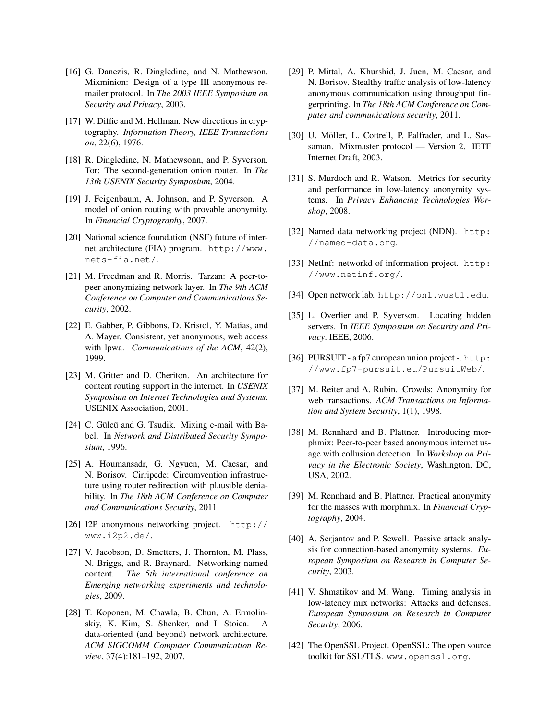- [16] G. Danezis, R. Dingledine, and N. Mathewson. Mixminion: Design of a type III anonymous remailer protocol. In *The 2003 IEEE Symposium on Security and Privacy*, 2003.
- [17] W. Diffie and M. Hellman. New directions in cryptography. *Information Theory, IEEE Transactions on*, 22(6), 1976.
- [18] R. Dingledine, N. Mathewsonn, and P. Syverson. Tor: The second-generation onion router. In *The 13th USENIX Security Symposium*, 2004.
- [19] J. Feigenbaum, A. Johnson, and P. Syverson. A model of onion routing with provable anonymity. In *Financial Cryptography*, 2007.
- [20] National science foundation (NSF) future of internet architecture (FIA) program. http://www. nets-fia.net/.
- [21] M. Freedman and R. Morris. Tarzan: A peer-topeer anonymizing network layer. In *The 9th ACM Conference on Computer and Communications Security*, 2002.
- [22] E. Gabber, P. Gibbons, D. Kristol, Y. Matias, and A. Mayer. Consistent, yet anonymous, web access with lpwa. *Communications of the ACM*, 42(2), 1999.
- [23] M. Gritter and D. Cheriton. An architecture for content routing support in the internet. In *USENIX Symposium on Internet Technologies and Systems*. USENIX Association, 2001.
- [24] C. Gülcü and G. Tsudik. Mixing e-mail with Babel. In *Network and Distributed Security Symposium*, 1996.
- [25] A. Houmansadr, G. Ngyuen, M. Caesar, and N. Borisov. Cirripede: Circumvention infrastructure using router redirection with plausible deniability. In *The 18th ACM Conference on Computer and Communications Security*, 2011.
- [26] I2P anonymous networking project. http:// www.i2p2.de/.
- [27] V. Jacobson, D. Smetters, J. Thornton, M. Plass, N. Briggs, and R. Braynard. Networking named content. *The 5th international conference on Emerging networking experiments and technologies*, 2009.
- [28] T. Koponen, M. Chawla, B. Chun, A. Ermolinskiy, K. Kim, S. Shenker, and I. Stoica. A data-oriented (and beyond) network architecture. *ACM SIGCOMM Computer Communication Review*, 37(4):181–192, 2007.
- [29] P. Mittal, A. Khurshid, J. Juen, M. Caesar, and N. Borisov. Stealthy traffic analysis of low-latency anonymous communication using throughput fingerprinting. In *The 18th ACM Conference on Computer and communications security*, 2011.
- [30] U. Möller, L. Cottrell, P. Palfrader, and L. Sassaman. Mixmaster protocol — Version 2. IETF Internet Draft, 2003.
- [31] S. Murdoch and R. Watson. Metrics for security and performance in low-latency anonymity systems. In *Privacy Enhancing Technologies Worshop*, 2008.
- [32] Named data networking project (NDN). http: //named-data.org.
- [33] NetInf: networkd of information project. http: //www.netinf.org/.
- [34] Open network lab. http://onl.wustl.edu.
- [35] L. Overlier and P. Syverson. Locating hidden servers. In *IEEE Symposium on Security and Privacy*. IEEE, 2006.
- [36] PURSUIT a fp7 european union project -. http: //www.fp7-pursuit.eu/PursuitWeb/.
- [37] M. Reiter and A. Rubin. Crowds: Anonymity for web transactions. *ACM Transactions on Information and System Security*, 1(1), 1998.
- [38] M. Rennhard and B. Plattner. Introducing morphmix: Peer-to-peer based anonymous internet usage with collusion detection. In *Workshop on Privacy in the Electronic Society*, Washington, DC, USA, 2002.
- [39] M. Rennhard and B. Plattner. Practical anonymity for the masses with morphmix. In *Financial Cryptography*, 2004.
- [40] A. Serjantov and P. Sewell. Passive attack analysis for connection-based anonymity systems. *European Symposium on Research in Computer Security*, 2003.
- [41] V. Shmatikov and M. Wang. Timing analysis in low-latency mix networks: Attacks and defenses. *European Symposium on Research in Computer Security*, 2006.
- [42] The OpenSSL Project. OpenSSL: The open source toolkit for SSL/TLS. www.openssl.org.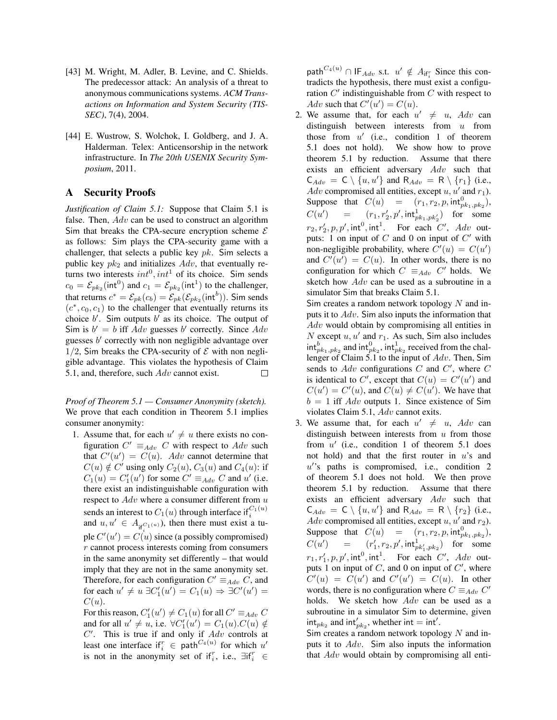- [43] M. Wright, M. Adler, B. Levine, and C. Shields. The predecessor attack: An analysis of a threat to anonymous communications systems. *ACM Transactions on Information and System Security (TIS-SEC)*, 7(4), 2004.
- [44] E. Wustrow, S. Wolchok, I. Goldberg, and J. A. Halderman. Telex: Anticensorship in the network infrastructure. In *The 20th USENIX Security Symposium*, 2011.

# A Security Proofs

*Justification of Claim 5.1:* Suppose that Claim 5.1 is false. Then, Adv can be used to construct an algorithm Sim that breaks the CPA-secure encryption scheme  $\mathcal E$ as follows: Sim plays the CPA-security game with a challenger, that selects a public key  $pk$ . Sim selects a public key  $pk_2$  and initializes  $Adv$ , that eventually returns two interests  $int^0, int^1$  of its choice. Sim sends  $c_0 = \mathcal{E}_{pk_2}(\text{int}^0)$  and  $c_1 = \mathcal{E}_{pk_2}(\text{int}^1)$  to the challenger, that returns  $c^* = \mathcal{E}_{pk}(c_b) = \mathcal{E}_{pk}(\mathcal{E}_{pk_2}(\text{int}^b))$ . Sim sends  $(c^*, c_0, c_1)$  to the challenger that eventually returns its choice  $b'$ . Sim outputs  $b'$  as its choice. The output of Sim is  $b' = b$  iff Adv guesses b' correctly. Since Adv guesses  $b'$  correctly with non negligible advantage over 1/2, Sim breaks the CPA-security of  $\mathcal E$  with non negligible advantage. This violates the hypothesis of Claim 5.1, and, therefore, such  $Adv$  cannot exist. П

*Proof of Theorem 5.1 — Consumer Anonymity (sketch).* We prove that each condition in Theorem 5.1 implies consumer anonymity:

1. Assume that, for each  $u' \neq u$  there exists no configuration  $C' \equiv_{Adv} C$  with respect to  $Adv$  such that  $C'(u') = C(u)$ . Adv cannot determine that  $C(u) \notin C'$  using only  $C_2(u)$ ,  $C_3(u)$  and  $C_4(u)$ : if  $C_1(u) = C'_1(u')$  for some  $C' \equiv_{Adv} C$  and u' (i.e. there exist an indistinguishable configuration with respect to  $Adv$  where a consumer different from  $u$ sends an interest to  $C_1(u)$  through interface if  $_G^{C_1(u)}$ and  $u, u' \in A_{\text{if}}_{i}c_{1}(u)$ , then there must exist a tuple  $C'(u') = C(u)$  since (a possibly compromised)  $r$  cannot process interests coming from consumers in the same anonymity set differently – that would imply that they are not in the same anonymity set. Therefore, for each configuration  $C' \equiv_{Adv} C$ , and for each  $u' \neq u \exists C_1'(u') = C_1(u) \Rightarrow \exists C'(u') =$  $C(u)$ .

For this reason,  $C'_1(u') \neq C_1(u)$  for all  $C' \equiv_{Adv} C$ and for all  $u' \neq u$ , i.e.  $\forall C'_1(u') = C_1(u)$ . $C(u) \notin$  $C'$ . This is true if and only if  $Adv$  controls at least one interface if  $i \in$  path  $C_4(u)$  for which  $u'$ is not in the anonymity set of if<sub>i</sub><sup>r</sup>, i.e.,  $\exists$ if<sub>i</sub><sup>r</sup>  $\in$ 

 $\mathsf{path}^{C_4(u)} \cap \mathsf{IF}_{Adv} \text{ s.t. } u' \notin A_{\mathsf{if}_i^r} \text{ Since this con-}$ tradicts the hypothesis, there must exist a configuration  $C'$  indistinguishable from  $C$  with respect to Adv such that  $C'(u') = C(u)$ .

2. We assume that, for each  $u' \neq u$ ,  $Adv$  can distinguish between interests from  $u$  from those from  $u'$  (i.e., condition 1 of theorem 5.1 does not hold). We show how to prove theorem 5.1 by reduction. Assume that there exists an efficient adversary  $Adv$  such that  $C_{Adv} = C \setminus \{u, u'\}$  and  $R_{Adv} = R \setminus \{r_1\}$  (i.e., Adv compromised all entities, except  $u, u'$  and  $r_1$ ). Suppose that  $C(u) = (r_1, r_2, p, \text{int}_{pk_1, pk_2}^0)$ ,  $C(u'$ ) =  $(r_1, r'_2, p', \text{int}_{pk_1, pk'_2}^1)$  for some  $r_2, r'_2, p, p', \text{int}^0, \text{int}^1$ . For each C', Adv outputs: 1 on input of  $C$  and 0 on input of  $C'$  with non-negligible probability, where  $C'(u) = C(u')$ and  $C'(u') = C(u)$ . In other words, there is no configuration for which  $C \equiv_{Adv} C'$  holds. We sketch how Adv can be used as a subroutine in a simulator Sim that breaks Claim 5.1.

Sim creates a random network topology  $N$  and inputs it to Adv. Sim also inputs the information that Adv would obtain by compromising all entities in N except  $u, u'$  and  $r_1$ . As such, Sim also includes  $\int_{p_{k_1},p_{k_2}}^{b}$  and  $\int_{p_{k_2}}^{b}$ , int $\int_{p_{k_2}}^{b}$  received from the challenger of Claim 5.1 to the input of Adv. Then, Sim sends to  $Adv$  configurations  $C$  and  $C'$ , where  $C$ is identical to C', except that  $C(u) = C'(u')$  and  $C(u') = C'(u)$ , and  $C(u) \neq C(u')$ . We have that  $b = 1$  iff Adv outputs 1. Since existence of Sim violates Claim 5.1, Adv cannot exits.

3. We assume that, for each  $u' \neq u$ ,  $Adv$  can distinguish between interests from  $u$  from those from  $u'$  (i.e., condition 1 of theorem 5.1 does not hold) and that the first router in  $u$ 's and u''s paths is compromised, i.e., condition 2 of theorem 5.1 does not hold. We then prove theorem 5.1 by reduction. Assume that there exists an efficient adversary Adv such that  $C_{Adv} = C \setminus \{u, u'\}$  and  $R_{Adv} = R \setminus \{r_2\}$  (i.e., Adv compromised all entities, except  $u, u'$  and  $r_2$ ). Suppose that  $C(u) = (r_1, r_2, p, \text{int}_{pk_1, pk_2}^0)$ ,  $C(u'$ ) =  $(r'_1, r_2, p', \text{int}_{pk'_1, pk_2})$  for some  $r_1, r'_1, p, p', \text{int}^0, \text{int}^1$ . For each C', Adv outputs 1 on input of  $C$ , and 0 on input of  $C'$ , where  $C'(u) = C(u')$  and  $C'(u') = C(u)$ . In other words, there is no configuration where  $C \equiv_{Adv} C'$ holds. We sketch how Adv can be used as a subroutine in a simulator Sim to determine, given  $\int_{nk_2}$  and  $\int_{nk_2}$ , whether  $\int_{nk_2}$  int'.

Sim creates a random network topology  $N$  and inputs it to Adv. Sim also inputs the information that Adv would obtain by compromising all enti-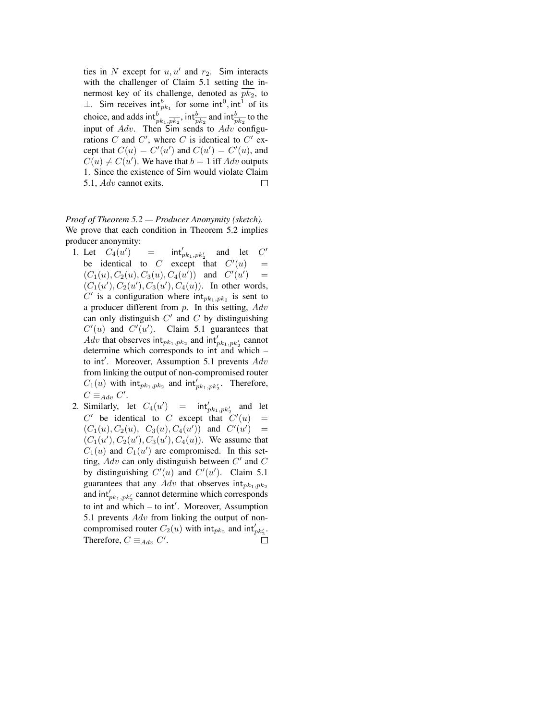ties in N except for  $u, u'$  and  $r_2$ . Sim interacts with the challenger of Claim 5.1 setting the innermost key of its challenge, denoted as  $\overline{pk_2}$ , to  $\perp$ . Sim receives  $\text{int}_{pk_1}^b$  for some  $\text{int}^0, \text{int}^1$  of its choice, and adds  $\mathrm{int}_{pk_1,\overline{pk_2}}^b$ ,  $\mathrm{int}_{pk_2}^b$  and  $\mathrm{int}_{pk_2}^b$  to the input of  $Adv$ . Then Sim sends to  $Adv$  configurations C and C', where C is identical to C' except that  $C(u) = C'(u')$  and  $C(u') = C'(u)$ , and  $C(u) \neq C(u')$ . We have that  $b = 1$  iff  $Adv$  outputs 1. Since the existence of Sim would violate Claim 5.1, Adv cannot exits. П

*Proof of Theorem 5.2 — Producer Anonymity (sketch).* We prove that each condition in Theorem 5.2 implies producer anonymity:

- 1. Let  $C_4(u)$  $=$  $p'_{p k_1, p k_2'}$  and let C  $C'$ be identical to C except that  $C'(u)$  =  $(C_1(u), C_2(u), C_3(u), C_4(u'))$  and  $C'(u')$  $\equiv$  $(C_1(u'), C_2(u'), C_3(u'), C_4(u))$ . In other words,  $C'$  is a configuration where  $int_{pk_1, pk_2}$  is sent to a producer different from  $p$ . In this setting,  $Adv$ can only distinguish  $C'$  and  $C$  by distinguishing  $C'(u)$  and  $C'(u')$ . Claim 5.1 guarantees that *Adv* that observes  $int_{pk_1,pk_2}$  and  $int'_{pk_1,pk'_2}$  cannot determine which corresponds to int and which – to int'. Moreover, Assumption 5.1 prevents  $Adv$ from linking the output of non-compromised router  $C_1(u)$  with  $int_{pk_1, pk_2}$  and  $int'_{pk_1, pk'_2}$ . Therefore,  $C \equiv_{Adv} C'.$
- 2. Similarly, let  $C_4(u') = \int \int u k_1, p k_2'$  and let  $C'$  be identical to C except that  $C'(u)$  =  $(C_1(u), C_2(u), C_3(u), C_4(u'))$  and  $C'(u') =$  $(C_1(u'), C_2(u'), C_3(u'), C_4(u))$ . We assume that  $C_1(u)$  and  $C_1(u')$  are compromised. In this setting,  $Adv$  can only distinguish between  $C'$  and  $C$ by distinguishing  $C'(u)$  and  $C'(u')$ . Claim 5.1 guarantees that any  $Adv$  that observes  $int_{pk_1,pk_2}$ and  $\int_{pk_1, pk_2'}$  cannot determine which corresponds to int and which - to int'. Moreover, Assumption 5.1 prevents *Adv* from linking the output of noncompromised router  $C_2(u)$  with  $\mathrm{int}_{pk_2}$  and  $\mathrm{int}'_{pk'_2}$ . Therefore,  $C \equiv_{Adv} C'$ .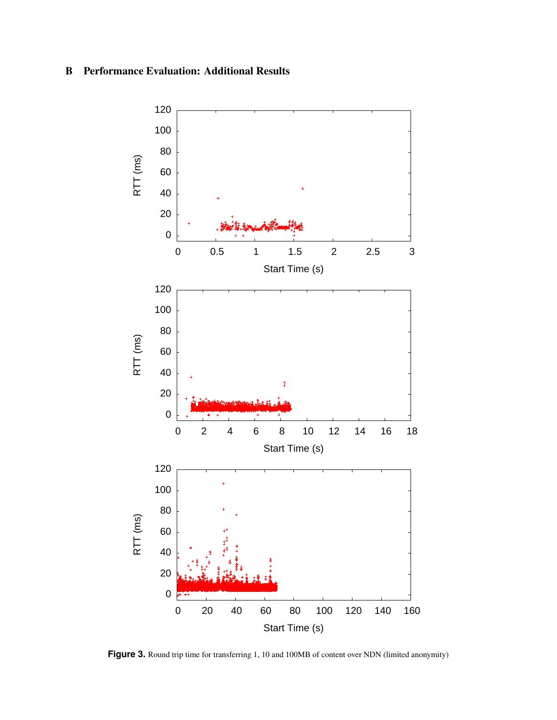# B Performance Evaluation: Additional Results



Figure 3. Round trip time for transferring 1, 10 and 100MB of content over NDN (limited anonymity)